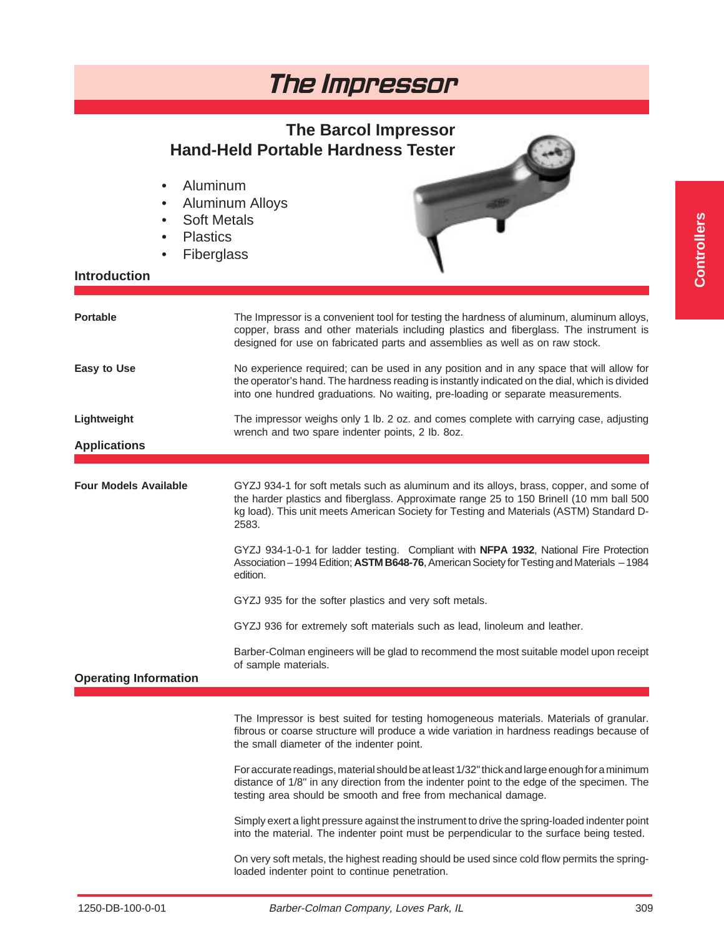### **The Barcol Impressor Hand-Held Portable Hardness Tester**

- Aluminum
- Aluminum Alloys
- Soft Metals
- Plastics
- Fiberglass

### **Introduction**



| <b>Portable</b>              | The Impressor is a convenient tool for testing the hardness of aluminum, aluminum alloys,<br>copper, brass and other materials including plastics and fiberglass. The instrument is<br>designed for use on fabricated parts and assemblies as well as on raw stock.                   |
|------------------------------|---------------------------------------------------------------------------------------------------------------------------------------------------------------------------------------------------------------------------------------------------------------------------------------|
| <b>Easy to Use</b>           | No experience required; can be used in any position and in any space that will allow for<br>the operator's hand. The hardness reading is instantly indicated on the dial, which is divided<br>into one hundred graduations. No waiting, pre-loading or separate measurements.         |
| Lightweight                  | The impressor weighs only 1 lb. 2 oz. and comes complete with carrying case, adjusting<br>wrench and two spare indenter points, 2 lb. 8oz.                                                                                                                                            |
| <b>Applications</b>          |                                                                                                                                                                                                                                                                                       |
|                              |                                                                                                                                                                                                                                                                                       |
| <b>Four Models Available</b> | GYZJ 934-1 for soft metals such as aluminum and its alloys, brass, copper, and some of<br>the harder plastics and fiberglass. Approximate range 25 to 150 Brinell (10 mm ball 500<br>kg load). This unit meets American Society for Testing and Materials (ASTM) Standard D-<br>2583. |
|                              | GYZJ 934-1-0-1 for ladder testing. Compliant with NFPA 1932, National Fire Protection<br>Association - 1994 Edition; ASTM B648-76, American Society for Testing and Materials - 1984<br>edition.                                                                                      |
|                              | GYZJ 935 for the softer plastics and very soft metals.                                                                                                                                                                                                                                |
|                              | GYZJ 936 for extremely soft materials such as lead, linoleum and leather.                                                                                                                                                                                                             |
| <b>Operating Information</b> | Barber-Colman engineers will be glad to recommend the most suitable model upon receipt<br>of sample materials.                                                                                                                                                                        |
|                              |                                                                                                                                                                                                                                                                                       |
|                              | The Impressor is best suited for testing homogeneous materials. Materials of granular.<br>fibrous or coarse structure will produce a wide variation in hardness readings because of<br>the small diameter of the indenter point.                                                      |
|                              | For accurate readings, material should be at least 1/32" thick and large enough for a minimum<br>distance of 1/8" in any direction from the indenter point to the edge of the specimen. The<br>testing area should be smooth and free from mechanical damage.                         |
|                              | Simply exert a light pressure against the instrument to drive the spring-loaded indenter point<br>into the material. The indenter point must be perpendicular to the surface being tested.                                                                                            |
|                              | On very soft metals, the highest reading should be used since cold flow permits the spring-<br>loaded indenter point to continue penetration.                                                                                                                                         |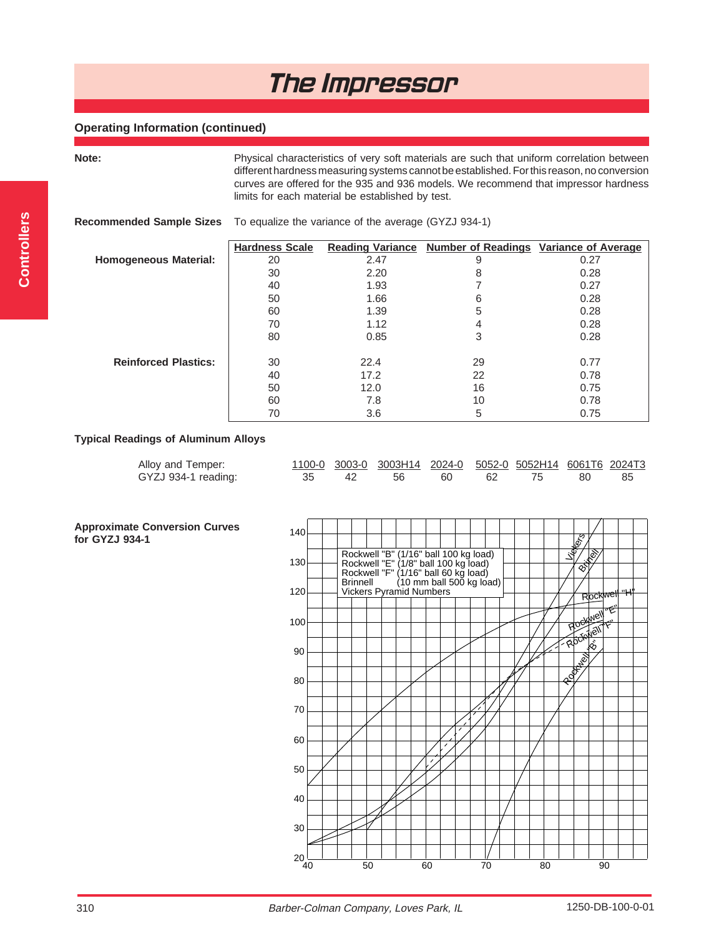### **Operating Information (continued)**

**Note:** Physical characteristics of very soft materials are such that uniform correlation between different hardness measuring systems cannot be established. For this reason, no conversion curves are offered for the 935 and 936 models. We recommend that impressor hardness limits for each material be established by test.

|                              | <b>Recommended Sample Sizes</b> To equalize the variance of the average (GYZJ 934-1) |                         |                                               |      |  |  |  |  |
|------------------------------|--------------------------------------------------------------------------------------|-------------------------|-----------------------------------------------|------|--|--|--|--|
|                              | <b>Hardness Scale</b>                                                                | <b>Reading Variance</b> | <b>Number of Readings Variance of Average</b> |      |  |  |  |  |
| <b>Homogeneous Material:</b> | 20                                                                                   | 2.47                    | 9                                             | 0.27 |  |  |  |  |
|                              | 30                                                                                   | 2.20                    | 8                                             | 0.28 |  |  |  |  |
|                              | 40                                                                                   | 1.93                    |                                               | 0.27 |  |  |  |  |
|                              | 50                                                                                   | 1.66                    | 6                                             | 0.28 |  |  |  |  |
|                              | 60                                                                                   | 1.39                    | 5                                             | 0.28 |  |  |  |  |
|                              | 70                                                                                   | 1.12                    | 4                                             | 0.28 |  |  |  |  |
|                              | 80                                                                                   | 0.85                    | 3                                             | 0.28 |  |  |  |  |
| <b>Reinforced Plastics:</b>  | 30                                                                                   | 22.4                    | 29                                            | 0.77 |  |  |  |  |
|                              | 40                                                                                   | 17.2                    | 22                                            | 0.78 |  |  |  |  |
|                              | 50                                                                                   | 12.0                    | 16                                            | 0.75 |  |  |  |  |
|                              | 60                                                                                   | 7.8                     | 10                                            | 0.78 |  |  |  |  |
|                              | 70                                                                                   | 3.6                     | 5                                             | 0.75 |  |  |  |  |

### **Typical Readings of Aluminum Alloys**

| Alloy and Temper:   |  | 1100-0 3003-0 3003H14 2024-0 5052-0 5052H14 6061T6 2024T3 |  |  |  |
|---------------------|--|-----------------------------------------------------------|--|--|--|
| GYZJ 934-1 reading: |  | 35 42 56 60 62 75 80 85                                   |  |  |  |

**Approximate Conversion Curves for GYZJ 934-1**

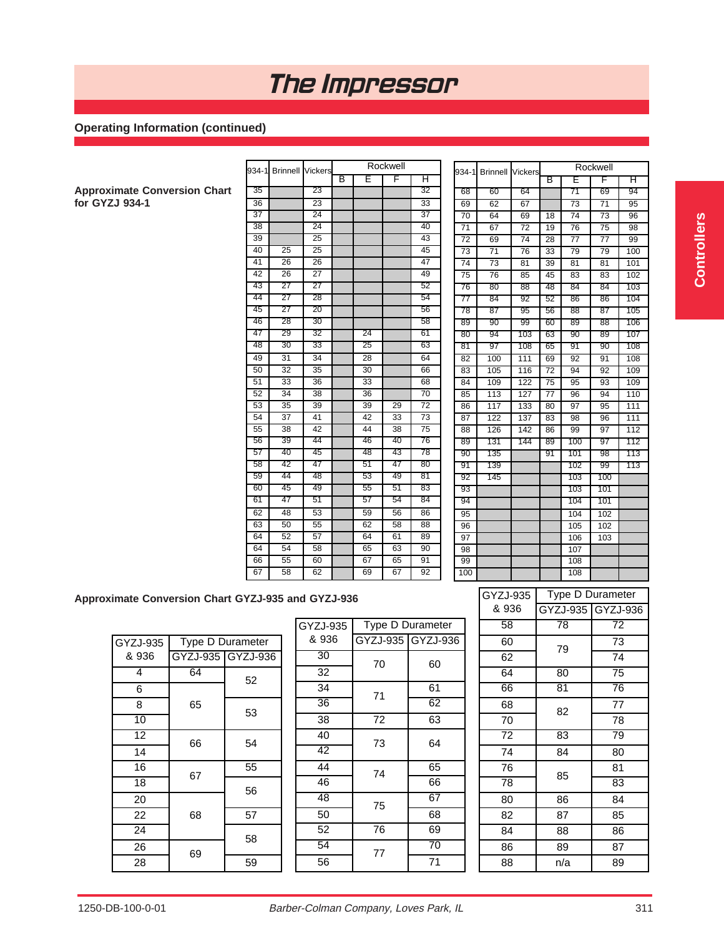### **Operating Information (continued)**

|                                     |                 |                         |                 |   |                 | Rockwell |                 |                 |                        |                 |                 |                 | Rockwell        |
|-------------------------------------|-----------------|-------------------------|-----------------|---|-----------------|----------|-----------------|-----------------|------------------------|-----------------|-----------------|-----------------|-----------------|
|                                     | 934-1           | <b>Brinnell Vickers</b> |                 | B | Έ               | F        | Η               |                 | 934-1 Brinnell Vickers |                 |                 |                 |                 |
|                                     | 35              |                         | 23              |   |                 |          | 32              |                 |                        |                 | B               | E               | F               |
| <b>Approximate Conversion Chart</b> |                 |                         |                 |   |                 |          |                 | 68              | 60                     | 64              |                 | 71              | 69              |
| for GYZJ 934-1                      | $\overline{36}$ |                         | 23              |   |                 |          | $\overline{33}$ | 69              | 62                     | 67              |                 | 73              | $\overline{71}$ |
|                                     | $\overline{37}$ |                         | $\overline{24}$ |   |                 |          | $\overline{37}$ | 70              | 64                     | 69              | 18              | $\overline{74}$ | $\overline{73}$ |
|                                     | 38              |                         | 24              |   |                 |          | 40              | $\overline{71}$ | 67                     | $\overline{72}$ | 19              | 76              | 75              |
|                                     | 39              |                         | $\overline{25}$ |   |                 |          | 43              | $\overline{72}$ | 69                     | 74              | 28              | $\overline{77}$ | $\overline{77}$ |
|                                     | 40              | 25                      | 25              |   |                 |          | 45              | $\overline{73}$ | $\overline{71}$        | 76              | $\overline{33}$ | 79              | 79              |
|                                     | 41              | 26                      | 26              |   |                 |          | 47              | 74              | 73                     | 81              | 39              | 81              | 81              |
|                                     | $\overline{42}$ | $\overline{26}$         | $\overline{27}$ |   |                 |          | 49              | 75              | 76                     | 85              | 45              | 83              | 83              |
|                                     | 43              | 27                      | 27              |   |                 |          | 52              | 76              | 80                     | 88              | 48              | 84              | 84              |
|                                     | 44              | 27                      | 28              |   |                 |          | 54              | 77              | 84                     | $\overline{92}$ | $\overline{52}$ | $\overline{86}$ | $\overline{86}$ |
|                                     | 45              | $\overline{27}$         | $\overline{20}$ |   |                 |          | $\overline{56}$ | 78              | 87                     | 95              | 56              | 88              | 87              |
|                                     | 46              | $\overline{28}$         | $\overline{30}$ |   |                 |          | $\overline{58}$ | 89              | 90                     | 99              | 60              | 89              | 88              |
|                                     | 47              | 29                      | 32              |   | 24              |          | 61              | 80              | 94                     | 103             | 63              | $\overline{90}$ | 89              |
|                                     | 48              | $\overline{30}$         | $\overline{33}$ |   | $\overline{25}$ |          | 63              | 81              | 97                     | 108             | 65              | 91              | 90              |
|                                     | 49              | 31                      | 34              |   | 28              |          | 64              | 82              | 100                    | 111             | 69              | 92              | 91              |
|                                     | 50              | 32                      | 35              |   | 30              |          | 66              | 83              | 105                    | 116             | $\overline{72}$ | 94              | 92              |
|                                     | 51              | 33                      | 36              |   | 33              |          | 68              | 84              | 109                    | 122             | $\overline{75}$ | 95              | 93              |
|                                     | 52              | $\overline{34}$         | 38              |   | 36              |          | 70              | 85              | 113                    | 127             | 77              | 96              | 94              |
|                                     | $\overline{53}$ | $\overline{35}$         | 39              |   | $\overline{39}$ | 29       | $\overline{72}$ | 86              | 117                    | 133             | 80              | 97              | 95              |
|                                     | 54              | $\overline{37}$         | 41              |   | 42              | 33       | 73              | 87              | 122                    | 137             | 83              | 98              | 96              |
|                                     | 55              | 38                      | 42              |   | 44              | 38       | 75              | 88              | 126                    | 142             | 86              | 99              | 97              |
|                                     | 56              | 39                      | 44              |   | 46              | 40       | 76              | 89              | 131                    | 144             | 89              | 100             | 97              |
|                                     | 57              | 40                      | 45              |   | 48              | 43       | 78              | 90              | 135                    |                 | 91              | 101             | 98              |
|                                     | 58              | 42                      | 47              |   | 51              | 47       | 80              | 91              | 139                    |                 |                 | 102             | 99              |
|                                     | 59              | 44                      | 48              |   | 53              | 49       | $\overline{81}$ | 92              | 145                    |                 |                 | 103             | 100             |
|                                     | 60              | 45                      | 49              |   | $\overline{55}$ | 51       | $\overline{83}$ | 93              |                        |                 |                 | 103             | 101             |
|                                     | 61              | 47                      | 51              |   | 57              | 54       | 84              | 94              |                        |                 |                 | 104             | 101             |
|                                     | 62              | 48                      | 53              |   | 59              | 56       | 86              | 95              |                        |                 |                 | 104             | 102             |
|                                     | 63              | 50                      | 55              |   | 62              | 58       | 88              | 96              |                        |                 |                 | 105             | 102             |
|                                     | 64              | 52                      | 57              |   | 64              | 61       | 89              | 97              |                        |                 |                 | 106             | 103             |
|                                     | 64              | 54                      | 58              |   | 65              | 63       | 90              | 98              |                        |                 |                 | 107             |                 |
|                                     | 66              | 55                      | 60              |   | 67              | 65       | 91              | 99              |                        |                 |                 | 108             |                 |
|                                     | 67              | 58                      | 62              |   | 69              | 67       | 92              | 100             |                        |                 |                 | 108             |                 |
|                                     |                 |                         |                 |   |                 |          |                 |                 |                        |                 |                 |                 |                 |

|                 |                 |                 | В               | E               | F               | н   |
|-----------------|-----------------|-----------------|-----------------|-----------------|-----------------|-----|
| 68              | 60              | 64              |                 | 71              | 69              | 94  |
| 69              | 62              | 67              |                 | 73              | 71              | 95  |
| 70              | 64              | 69              | 18              | $\overline{74}$ | $\overline{73}$ | 96  |
| 71              | $\overline{67}$ | 72              | 19              | 76              | 75              | 98  |
| 72              | 69              | $\overline{74}$ | 28              | $\overline{77}$ | $\overline{77}$ | 99  |
| $\overline{73}$ | $\overline{71}$ | $\overline{76}$ | 33              | 79              | 79              | 100 |
| 74              | $\overline{73}$ | 81              | 39              | 81              | 81              | 101 |
| 75              | 76              | 85              | 45              | 83              | 83              | 102 |
| 76              | 80              | 88              | 48              | 84              | 84              | 103 |
| 77              | 84              | 92              | 52              | 86              | 86              | 104 |
| 78              | 87              | 95              | 56              | 88              | 87              | 105 |
| 89              | 90              | 99              | 60              | 89              | 88              | 106 |
| 80              | 94              | 103             | 63              | 90              | 89              | 107 |
| 81              | 97              | 108             | 65              | 91              | 90              | 108 |
| 82              | 100             | 111             | 69              | 92              | 91              | 108 |
| 83              | 105             | 116             | $\overline{72}$ | 94              | 92              | 109 |
| 84              | 109             | 122             | $\overline{75}$ | $\overline{95}$ | 93              | 109 |
| 85              | 113             | 127             | 77              | 96              | 94              | 110 |
| 86              | 117             | 133             | 80              | 97              | 95              | 111 |
| 87              | 122             | 137             | 83              | 98              | 96              | 111 |
| 88              | 126             | 142             | 86              | 99              | 97              | 112 |
| 89              | 131             | 144             | 89              | 100             | 97              | 112 |
| 90              | 135             |                 | 91              | 101             | 98              | 113 |
| 91              | 139             |                 |                 | 102             | 99              | 113 |
| 92              | 145             |                 |                 | 103             | 100             |     |
| 93              |                 |                 |                 | 103             | 101             |     |
| 94              |                 |                 |                 | 104             | 101             |     |
| $\overline{95}$ |                 |                 |                 | 104             | 102             |     |
| 96              |                 |                 |                 | 105             | 102             |     |
| 97              |                 |                 |                 | 106             | 103             |     |
| 98              |                 |                 |                 | 107             |                 |     |
| 99              |                 |                 |                 | 108             |                 |     |
| 100             |                 |                 |                 | 108             |                 |     |

**Approximate Conversion Chart GYZJ-935 and GYZJ-936**

| GYZJ-935        | Type D Durameter  |    |  |  |  |  |  |
|-----------------|-------------------|----|--|--|--|--|--|
| & 936           | GYZJ-935 GYZJ-936 |    |  |  |  |  |  |
| 4               | 64                | 52 |  |  |  |  |  |
| 6               |                   |    |  |  |  |  |  |
| 8               | 65                | 53 |  |  |  |  |  |
| $\overline{10}$ |                   |    |  |  |  |  |  |
| $\overline{12}$ | 66                | 54 |  |  |  |  |  |
| 14              |                   |    |  |  |  |  |  |
| 16              | 67                | 55 |  |  |  |  |  |
| $\overline{18}$ |                   | 56 |  |  |  |  |  |
| 20              |                   |    |  |  |  |  |  |
| 22              | 68                | 57 |  |  |  |  |  |
| 24              |                   | 58 |  |  |  |  |  |
| 26              | 69                |    |  |  |  |  |  |
| 28              |                   | 59 |  |  |  |  |  |

| GYZJ-935        | Type D Durameter |                   |  |  |  |
|-----------------|------------------|-------------------|--|--|--|
| & 936           |                  | GYZJ-935 GYZJ-936 |  |  |  |
| $\overline{30}$ | 70               | 60                |  |  |  |
| 32              |                  |                   |  |  |  |
| 34              | 71               | 61                |  |  |  |
| $\overline{36}$ |                  | 62                |  |  |  |
| 38              | 72               | 63                |  |  |  |
| 40              | 73               | 64                |  |  |  |
| $\overline{42}$ |                  |                   |  |  |  |
| 44              | 74               | 65                |  |  |  |
| 46              |                  | 66                |  |  |  |
| 48              | 75               | 67                |  |  |  |
| 50              |                  | 68                |  |  |  |
| 52              | 76               | 69                |  |  |  |
| 54              | 77               | $\overline{70}$   |  |  |  |
| 56              |                  | 71                |  |  |  |

| GYZJ-935        | Type D Durameter |                   |  |  |  |  |
|-----------------|------------------|-------------------|--|--|--|--|
| & 936           |                  | GYZJ-935 GYZJ-936 |  |  |  |  |
| $\overline{58}$ | 78               | $\overline{72}$   |  |  |  |  |
| 60              | 79               | 73                |  |  |  |  |
| 62              |                  | 74                |  |  |  |  |
| 64              | 80               | $\overline{75}$   |  |  |  |  |
| 66              | $\overline{81}$  | 76                |  |  |  |  |
| 68              | 82               | 77                |  |  |  |  |
| 70              |                  | 78                |  |  |  |  |
| 72              | 83               | 79                |  |  |  |  |
| 74              | 84               | 80                |  |  |  |  |
| 76              | 85               | 81                |  |  |  |  |
| 78              |                  | 83                |  |  |  |  |
| 80              | 86               | 84                |  |  |  |  |
| 82              | 87               | 85                |  |  |  |  |
| 84              | 88               | 86                |  |  |  |  |
| 86              | 89               | 87                |  |  |  |  |
| 88              | n/a              | 89                |  |  |  |  |